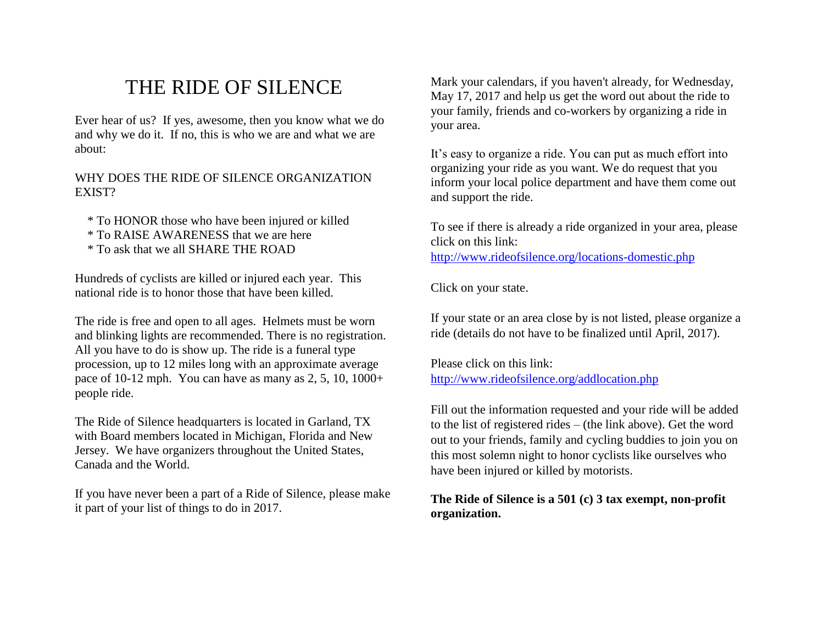## THE RIDE OF SILENCE

Ever hear of us? If yes, awesome, then you know what we do and why we do it. If no, this is who we are and what we are about:

## WHY DOES THE RIDE OF SILENCE ORGANIZATION EXIST?

- \* To HONOR those who have been injured or killed
- \* To RAISE AWARENESS that we are here
- \* To ask that we all SHARE THE ROAD

Hundreds of cyclists are killed or injured each year. This national ride is to honor those that have been killed.

The ride is free and open to all ages. Helmets must be worn and blinking lights are recommended. There is no registration. All you have to do is show up. The ride is a funeral type procession, up to 12 miles long with an approximate average pace of 10-12 mph. You can have as many as 2, 5, 10, 1000+ people ride.

The Ride of Silence headquarters is located in Garland, TX with Board members located in Michigan, Florida and New Jersey. We have organizers throughout the United States, Canada and the World.

If you have never been a part of a Ride of Silence, please make it part of your list of things to do in 2017.

Mark your calendars, if you haven't already, for Wednesday, May 17, 2017 and help us get the word out about the ride to your family, friends and co-workers by organizing a ride in your area.

It's easy to organize a ride. You can put as much effort into organizing your ride as you want. We do request that you inform your local police department and have them come out and support the ride.

To see if there is already a ride organized in your area, please click on this link:

<http://www.rideofsilence.org/locations-domestic.php>

Click on your state.

If your state or an area close by is not listed, please organize a ride (details do not have to be finalized until April, 2017).

Please click on this link: <http://www.rideofsilence.org/addlocation.php>

Fill out the information requested and your ride will be added to the list of registered rides – (the link above). Get the word out to your friends, family and cycling buddies to join you on this most solemn night to honor cyclists like ourselves who have been injured or killed by motorists.

## **The Ride of Silence is a 501 (c) 3 tax exempt, non-profit organization.**